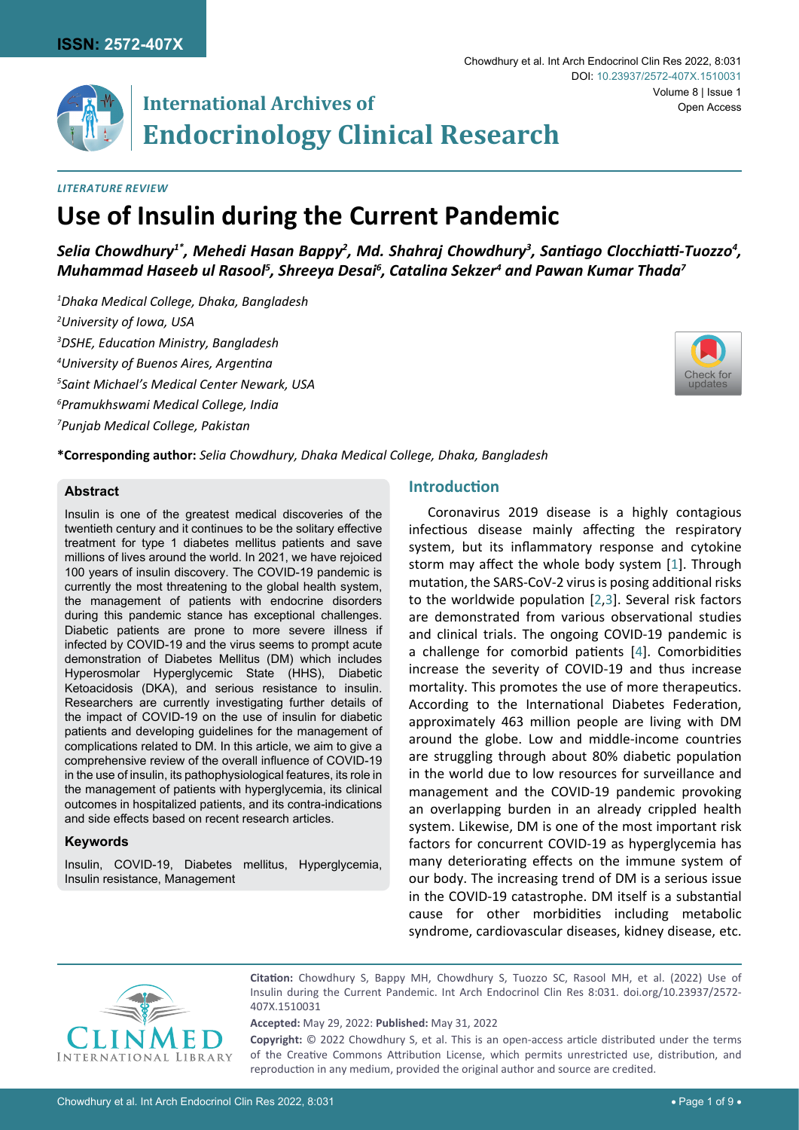# **International Archives of Endocrinology Clinical Research**

## *Literature Review*

# **Use of Insulin during the Current Pandemic**

Selia Chowdhury<sup>1\*</sup>, Mehedi Hasan Bappy<sup>2</sup>, Md. Shahraj Chowdhury<sup>3</sup>, Santiago Clocchiatti-Tuozzo<sup>4</sup>, *Muhammad Haseeb ul Rasool5 , Shreeya Desai6 , Catalina Sekzer<sup>4</sup> and Pawan Kumar Thada<sup>7</sup>*

 *Dhaka Medical College, Dhaka, Bangladesh University of Iowa, USA DSHE, Education Ministry, Bangladesh University of Buenos Aires, Argentina Saint Michael's Medical Center Newark, USA Pramukhswami Medical College, India Punjab Medical College, Pakistan*



**\*Corresponding author:** *Selia Chowdhury, Dhaka Medical College, Dhaka, Bangladesh*

## **Abstract**

Insulin is one of the greatest medical discoveries of the twentieth century and it continues to be the solitary effective treatment for type 1 diabetes mellitus patients and save millions of lives around the world. In 2021, we have rejoiced 100 years of insulin discovery. The COVID-19 pandemic is currently the most threatening to the global health system, the management of patients with endocrine disorders during this pandemic stance has exceptional challenges. Diabetic patients are prone to more severe illness if infected by COVID-19 and the virus seems to prompt acute demonstration of Diabetes Mellitus (DM) which includes Hyperosmolar Hyperglycemic State (HHS), Diabetic Ketoacidosis (DKA), and serious resistance to insulin. Researchers are currently investigating further details of the impact of COVID-19 on the use of insulin for diabetic patients and developing guidelines for the management of complications related to DM. In this article, we aim to give a comprehensive review of the overall influence of COVID-19 in the use of insulin, its pathophysiological features, its role in the management of patients with hyperglycemia, its clinical outcomes in hospitalized patients, and its contra-indications and side effects based on recent research articles.

## **Keywords**

Insulin, COVID-19, Diabetes mellitus, Hyperglycemia, Insulin resistance, Management

# **Introduction**

Coronavirus 2019 disease is a highly contagious infectious disease mainly affecting the respiratory system, but its inflammatory response and cytokine storm may affect the whole body system [[1\]](#page-5-0). Through mutation, the SARS-CoV-2 virus is posing additional risks to the worldwide population [[2](#page-6-0)[,3](#page-6-1)]. Several risk factors are demonstrated from various observational studies and clinical trials. The ongoing COVID-19 pandemic is a challenge for comorbid patients [[4](#page-6-2)]. Comorbidities increase the severity of COVID-19 and thus increase mortality. This promotes the use of more therapeutics. According to the International Diabetes Federation, approximately 463 million people are living with DM around the globe. Low and middle-income countries are struggling through about 80% diabetic population in the world due to low resources for surveillance and management and the COVID-19 pandemic provoking an overlapping burden in an already crippled health system. Likewise, DM is one of the most important risk factors for concurrent COVID-19 as hyperglycemia has many deteriorating effects on the immune system of our body. The increasing trend of DM is a serious issue in the COVID-19 catastrophe. DM itself is a substantial cause for other morbidities including metabolic syndrome, cardiovascular diseases, kidney disease, etc.



**Citation:** Chowdhury S, Bappy MH, Chowdhury S, Tuozzo SC, Rasool MH, et al. (2022) Use of Insulin during the Current Pandemic. Int Arch Endocrinol Clin Res 8:031. [doi.org/10.23937/2572-](https://doi.org/10.23937/2572-407X.1510031) [407X.1510031](https://doi.org/10.23937/2572-407X.1510031)

**Accepted:** May 29, 2022: **Published:** May 31, 2022

**Copyright:** © 2022 Chowdhury S, et al. This is an open-access article distributed under the terms of the Creative Commons Attribution License, which permits unrestricted use, distribution, and reproduction in any medium, provided the original author and source are credited.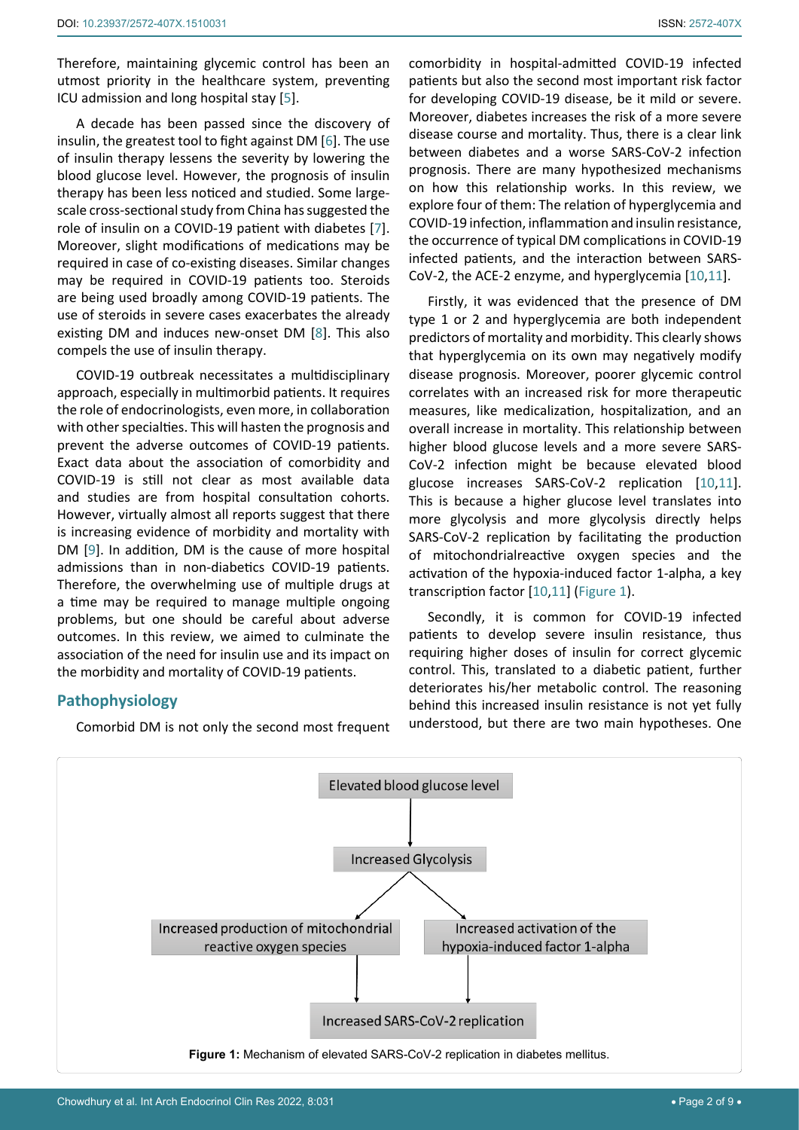Therefore, maintaining glycemic control has been an utmost priority in the healthcare system, preventing ICU admission and long hospital stay [[5](#page-6-3)].

A decade has been passed since the discovery of insulin, the greatest tool to fight against DM [[6](#page-6-4)]. The use of insulin therapy lessens the severity by lowering the blood glucose level. However, the prognosis of insulin therapy has been less noticed and studied. Some largescale cross-sectional study from China has suggested the role of insulin on a COVID-19 patient with diabetes [[7](#page-6-5)]. Moreover, slight modifications of medications may be required in case of co-existing diseases. Similar changes may be required in COVID-19 patients too. Steroids are being used broadly among COVID-19 patients. The use of steroids in severe cases exacerbates the already existing DM and induces new-onset DM [[8\]](#page-6-6). This also compels the use of insulin therapy.

COVID-19 outbreak necessitates a multidisciplinary approach, especially in multimorbid patients. It requires the role of endocrinologists, even more, in collaboration with other specialties. This will hasten the prognosis and prevent the adverse outcomes of COVID-19 patients. Exact data about the association of comorbidity and COVID-19 is still not clear as most available data and studies are from hospital consultation cohorts. However, virtually almost all reports suggest that there is increasing evidence of morbidity and mortality with DM [[9](#page-6-7)]. In addition, DM is the cause of more hospital admissions than in non-diabetics COVID-19 patients. Therefore, the overwhelming use of multiple drugs at a time may be required to manage multiple ongoing problems, but one should be careful about adverse outcomes. In this review, we aimed to culminate the association of the need for insulin use and its impact on the morbidity and mortality of COVID-19 patients.

# **Pathophysiology**

Comorbid DM is not only the second most frequent

comorbidity in hospital-admitted COVID-19 infected patients but also the second most important risk factor for developing COVID-19 disease, be it mild or severe. Moreover, diabetes increases the risk of a more severe disease course and mortality. Thus, there is a clear link between diabetes and a worse SARS-CoV-2 infection prognosis. There are many hypothesized mechanisms on how this relationship works. In this review, we explore four of them: The relation of hyperglycemia and COVID-19 infection, inflammation and insulin resistance, the occurrence of typical DM complications in COVID-19 infected patients, and the interaction between SARS-CoV-2, the ACE-2 enzyme, and hyperglycemia [[10,](#page-6-8)[11\]](#page-6-9).

Firstly, it was evidenced that the presence of DM type 1 or 2 and hyperglycemia are both independent predictors of mortality and morbidity. This clearly shows that hyperglycemia on its own may negatively modify disease prognosis. Moreover, poorer glycemic control correlates with an increased risk for more therapeutic measures, like medicalization, hospitalization, and an overall increase in mortality. This relationship between higher blood glucose levels and a more severe SARS-CoV-2 infection might be because elevated blood glucose increases SARS-CoV-2 replication [[10](#page-6-8)[,11\]](#page-6-9). This is because a higher glucose level translates into more glycolysis and more glycolysis directly helps SARS-CoV-2 replication by facilitating the production of mitochondrialreactive oxygen species and the activation of the hypoxia-induced factor 1-alpha, a key transcription factor [[10](#page-6-8),[11](#page-6-9)] ([Figure 1](#page-1-0)).

Secondly, it is common for COVID-19 infected patients to develop severe insulin resistance, thus requiring higher doses of insulin for correct glycemic control. This, translated to a diabetic patient, further deteriorates his/her metabolic control. The reasoning behind this increased insulin resistance is not yet fully understood, but there are two main hypotheses. One

<span id="page-1-0"></span>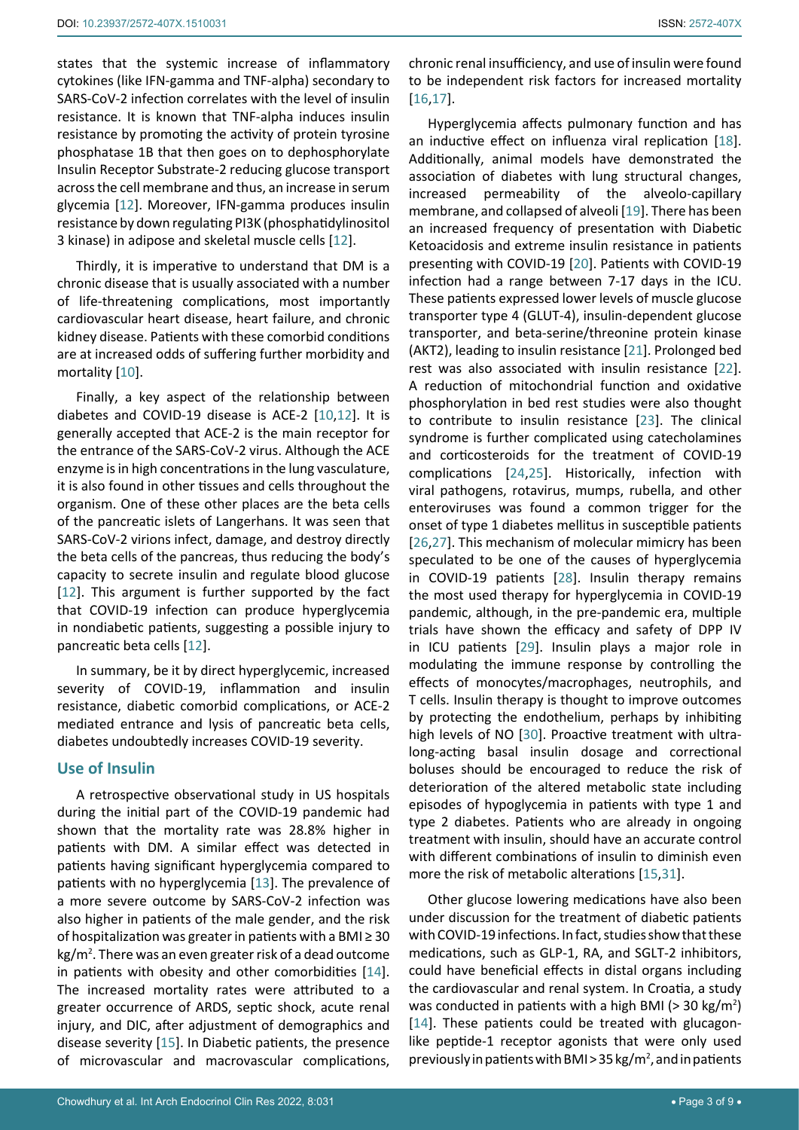states that the systemic increase of inflammatory cytokines (like IFN-gamma and TNF-alpha) secondary to SARS-CoV-2 infection correlates with the level of insulin resistance. It is known that TNF-alpha induces insulin resistance by promoting the activity of protein tyrosine phosphatase 1B that then goes on to dephosphorylate Insulin Receptor Substrate-2 reducing glucose transport across the cell membrane and thus, an increase in serum glycemia [[12](#page-6-28)]. Moreover, IFN-gamma produces insulin resistance by down regulating PI3K (phosphatidylinositol 3 kinase) in adipose and skeletal muscle cells [[12\]](#page-6-28).

Thirdly, it is imperative to understand that DM is a chronic disease that is usually associated with a number of life-threatening complications, most importantly cardiovascular heart disease, heart failure, and chronic kidney disease. Patients with these comorbid conditions are at increased odds of suffering further morbidity and mortality [[10\]](#page-6-8).

Finally, a key aspect of the relationship between diabetes and COVID-19 disease is ACE-2 [[10](#page-6-8)[,12](#page-6-28)]. It is generally accepted that ACE-2 is the main receptor for the entrance of the SARS-CoV-2 virus. Although the ACE enzyme is in high concentrations in the lung vasculature, it is also found in other tissues and cells throughout the organism. One of these other places are the beta cells of the pancreatic islets of Langerhans. It was seen that SARS-CoV-2 virions infect, damage, and destroy directly the beta cells of the pancreas, thus reducing the body's capacity to secrete insulin and regulate blood glucose [[12](#page-6-28)]. This argument is further supported by the fact that COVID-19 infection can produce hyperglycemia in nondiabetic patients, suggesting a possible injury to pancreatic beta cells [[12](#page-6-28)].

In summary, be it by direct hyperglycemic, increased severity of COVID-19, inflammation and insulin resistance, diabetic comorbid complications, or ACE-2 mediated entrance and lysis of pancreatic beta cells, diabetes undoubtedly increases COVID-19 severity.

## **Use of Insulin**

A retrospective observational study in US hospitals during the initial part of the COVID-19 pandemic had shown that the mortality rate was 28.8% higher in patients with DM. A similar effect was detected in patients having significant hyperglycemia compared to patients with no hyperglycemia [[13](#page-6-29)]. The prevalence of a more severe outcome by SARS-CoV-2 infection was also higher in patients of the male gender, and the risk of hospitalization was greater in patients with a BMI $\geq$  30 kg/m<sup>2</sup> . There was an even greater risk of a dead outcome in patients with obesity and other comorbidities [[14](#page-6-27)]. The increased mortality rates were attributed to a greater occurrence of ARDS, septic shock, acute renal injury, and DIC, after adjustment of demographics and disease severity [[15](#page-6-25)]. In Diabetic patients, the presence of microvascular and macrovascular complications,

chronic renal insufficiency, and use of insulin were found to be independent risk factors for increased mortality [[16](#page-6-10)[,17](#page-6-11)].

Hyperglycemia affects pulmonary function and has an inductive effect on influenza viral replication [[18\]](#page-6-12). Additionally, animal models have demonstrated the association of diabetes with lung structural changes, increased permeability of the alveolo-capillary membrane, and collapsed of alveoli [[19](#page-6-13)]. There has been an increased frequency of presentation with Diabetic Ketoacidosis and extreme insulin resistance in patients presenting with COVID-19 [[20](#page-6-14)]. Patients with COVID-19 infection had a range between 7-17 days in the ICU. These patients expressed lower levels of muscle glucose transporter type 4 (GLUT-4), insulin-dependent glucose transporter, and beta-serine/threonine protein kinase (AKT2), leading to insulin resistance [[21](#page-6-15)]. Prolonged bed rest was also associated with insulin resistance [[22\]](#page-6-16). A reduction of mitochondrial function and oxidative phosphorylation in bed rest studies were also thought to contribute to insulin resistance [[23](#page-6-17)]. The clinical syndrome is further complicated using catecholamines and corticosteroids for the treatment of COVID-19 complications [[24](#page-6-18),[25](#page-6-19)]. Historically, infection with viral pathogens, rotavirus, mumps, rubella, and other enteroviruses was found a common trigger for the onset of type 1 diabetes mellitus in susceptible patients [[26](#page-6-20)[,27](#page-6-21)]. This mechanism of molecular mimicry has been speculated to be one of the causes of hyperglycemia in COVID-19 patients [[28\]](#page-6-22). Insulin therapy remains the most used therapy for hyperglycemia in COVID-19 pandemic, although, in the pre-pandemic era, multiple trials have shown the efficacy and safety of DPP IV in ICU patients [[29\]](#page-6-23). Insulin plays a major role in modulating the immune response by controlling the effects of monocytes/macrophages, neutrophils, and T cells. Insulin therapy is thought to improve outcomes by protecting the endothelium, perhaps by inhibiting high levels of NO [[30](#page-6-24)]. Proactive treatment with ultralong-acting basal insulin dosage and correctional boluses should be encouraged to reduce the risk of deterioration of the altered metabolic state including episodes of hypoglycemia in patients with type 1 and type 2 diabetes. Patients who are already in ongoing treatment with insulin, should have an accurate control with different combinations of insulin to diminish even more the risk of metabolic alterations [[15](#page-6-25)[,31](#page-6-26)].

Other glucose lowering medications have also been under discussion for the treatment of diabetic patients with COVID-19 infections. In fact, studies show that these medications, such as GLP-1, RA, and SGLT-2 inhibitors, could have beneficial effects in distal organs including the cardiovascular and renal system. In Croatia, a study was conducted in patients with a high BMI ( $>$  30 kg/m<sup>2</sup>) [[14](#page-6-27)]. These patients could be treated with glucagonlike peptide-1 receptor agonists that were only used previously in patients with BMI > 35 kg/m<sup>2</sup>, and in patients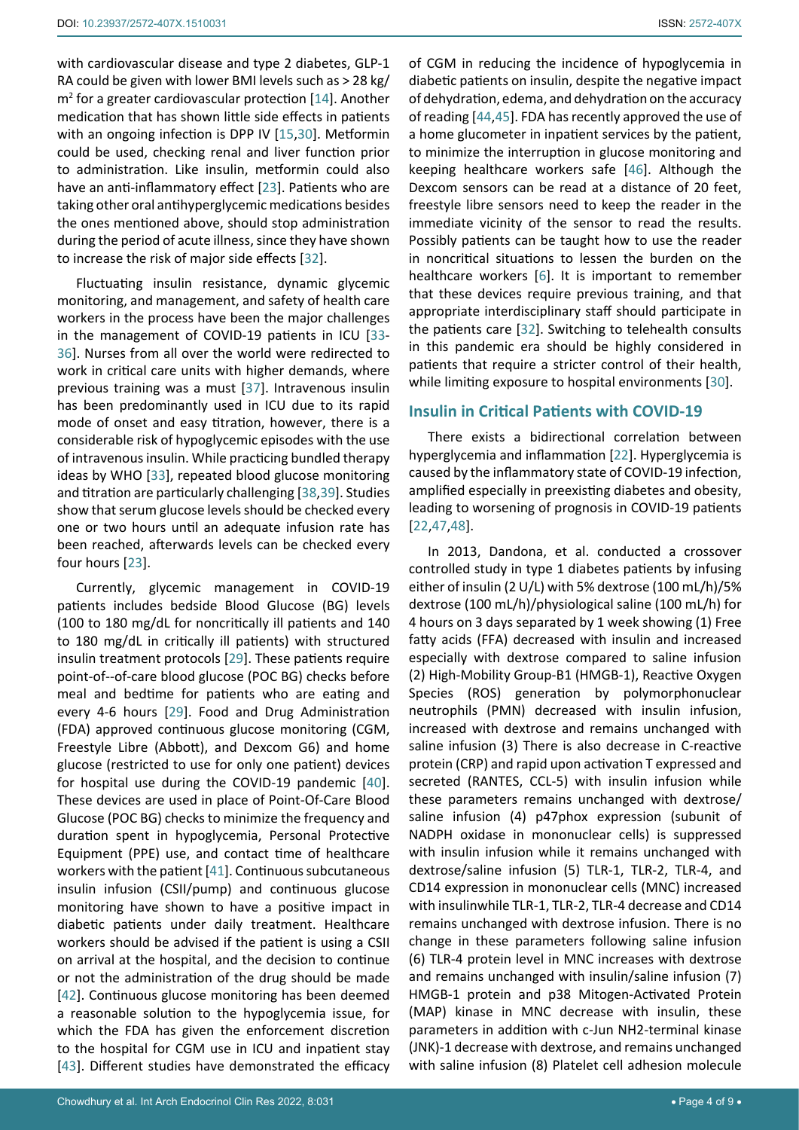with cardiovascular disease and type 2 diabetes, GLP-1 RA could be given with lower BMI levels such as > 28 kg/  $m<sup>2</sup>$  for a greater cardiovascular protection [[14](#page-6-27)]. Another medication that has shown little side effects in patients with an ongoing infection is DPP IV [[15](#page-6-25),[30](#page-6-24)]. Metformin could be used, checking renal and liver function prior to administration. Like insulin, metformin could also have an anti-inflammatory effect [[23](#page-6-17)]. Patients who are taking other oral antihyperglycemic medications besides the ones mentioned above, should stop administration during the period of acute illness, since they have shown to increase the risk of major side effects [[32\]](#page-6-30).

Fluctuating insulin resistance, dynamic glycemic monitoring, and management, and safety of health care workers in the process have been the major challenges in the management of COVID-19 patients in ICU [[33](#page-6-31)- [36](#page-7-5)]. Nurses from all over the world were redirected to work in critical care units with higher demands, where previous training was a must [[37](#page-7-6)]. Intravenous insulin has been predominantly used in ICU due to its rapid mode of onset and easy titration, however, there is a considerable risk of hypoglycemic episodes with the use of intravenous insulin. While practicing bundled therapy ideas by WHO [[33](#page-6-31)], repeated blood glucose monitoring and titration are particularly challenging [[38](#page-7-7),[39\]](#page-7-8). Studies show that serum glucose levels should be checked every one or two hours until an adequate infusion rate has been reached, afterwards levels can be checked every four hours [[23](#page-6-17)].

Currently, glycemic management in COVID-19 patients includes bedside Blood Glucose (BG) levels (100 to 180 mg/dL for noncritically ill patients and 140 to 180 mg/dL in critically ill patients) with structured insulin treatment protocols [[29](#page-6-23)]. These patients require point-of--of-care blood glucose (POC BG) checks before meal and bedtime for patients who are eating and every 4-6 hours [[29](#page-6-23)]. Food and Drug Administration (FDA) approved continuous glucose monitoring (CGM, Freestyle Libre (Abbott), and Dexcom G6) and home glucose (restricted to use for only one patient) devices for hospital use during the COVID-19 pandemic [[40](#page-7-9)]. These devices are used in place of Point-Of-Care Blood Glucose (POC BG) checks to minimize the frequency and duration spent in hypoglycemia, Personal Protective Equipment (PPE) use, and contact time of healthcare workers with the patient [[41](#page-7-10)]. Continuous subcutaneous insulin infusion (CSII/pump) and continuous glucose monitoring have shown to have a positive impact in diabetic patients under daily treatment. Healthcare workers should be advised if the patient is using a CSII on arrival at the hospital, and the decision to continue or not the administration of the drug should be made [[42](#page-7-11)]. Continuous glucose monitoring has been deemed a reasonable solution to the hypoglycemia issue, for which the FDA has given the enforcement discretion to the hospital for CGM use in ICU and inpatient stay [[43](#page-7-12)]. Different studies have demonstrated the efficacy

of CGM in reducing the incidence of hypoglycemia in diabetic patients on insulin, despite the negative impact of dehydration, edema, and dehydration on the accuracy of reading [[44](#page-7-0)[,45](#page-7-1)]. FDA has recently approved the use of a home glucometer in inpatient services by the patient, to minimize the interruption in glucose monitoring and keeping healthcare workers safe [[46](#page-7-2)]. Although the Dexcom sensors can be read at a distance of 20 feet, freestyle libre sensors need to keep the reader in the immediate vicinity of the sensor to read the results. Possibly patients can be taught how to use the reader in noncritical situations to lessen the burden on the healthcare workers [[6](#page-6-4)]. It is important to remember that these devices require previous training, and that appropriate interdisciplinary staff should participate in the patients care [[32](#page-6-30)]. Switching to telehealth consults in this pandemic era should be highly considered in patients that require a stricter control of their health, while limiting exposure to hospital environments [[30](#page-6-24)].

## **Insulin in Critical Patients with COVID-19**

There exists a bidirectional correlation between hyperglycemia and inflammation [[22\]](#page-6-16). Hyperglycemia is caused by the inflammatory state of COVID-19 infection, amplified especially in preexisting diabetes and obesity, leading to worsening of prognosis in COVID-19 patients [[22](#page-6-16)[,47](#page-7-3),[48](#page-7-4)].

In 2013, Dandona, et al. conducted a crossover controlled study in type 1 diabetes patients by infusing either of insulin (2 U/L) with 5% dextrose (100 mL/h)/5% dextrose (100 mL/h)/physiological saline (100 mL/h) for 4 hours on 3 days separated by 1 week showing (1) Free fatty acids (FFA) decreased with insulin and increased especially with dextrose compared to saline infusion (2) High-Mobility Group-B1 (HMGB-1), Reactive Oxygen Species (ROS) generation by polymorphonuclear neutrophils (PMN) decreased with insulin infusion, increased with dextrose and remains unchanged with saline infusion (3) There is also decrease in C-reactive protein (CRP) and rapid upon activation T expressed and secreted (RANTES, CCL-5) with insulin infusion while these parameters remains unchanged with dextrose/ saline infusion (4) p47phox expression (subunit of NADPH oxidase in mononuclear cells) is suppressed with insulin infusion while it remains unchanged with dextrose/saline infusion (5) TLR-1, TLR-2, TLR-4, and CD14 expression in mononuclear cells (MNC) increased with insulinwhile TLR-1, TLR-2, TLR-4 decrease and CD14 remains unchanged with dextrose infusion. There is no change in these parameters following saline infusion (6) TLR-4 protein level in MNC increases with dextrose and remains unchanged with insulin/saline infusion (7) HMGB-1 protein and p38 Mitogen-Activated Protein (MAP) kinase in MNC decrease with insulin, these parameters in addition with c-Jun NH2-terminal kinase (JNK)-1 decrease with dextrose, and remains unchanged with saline infusion (8) Platelet cell adhesion molecule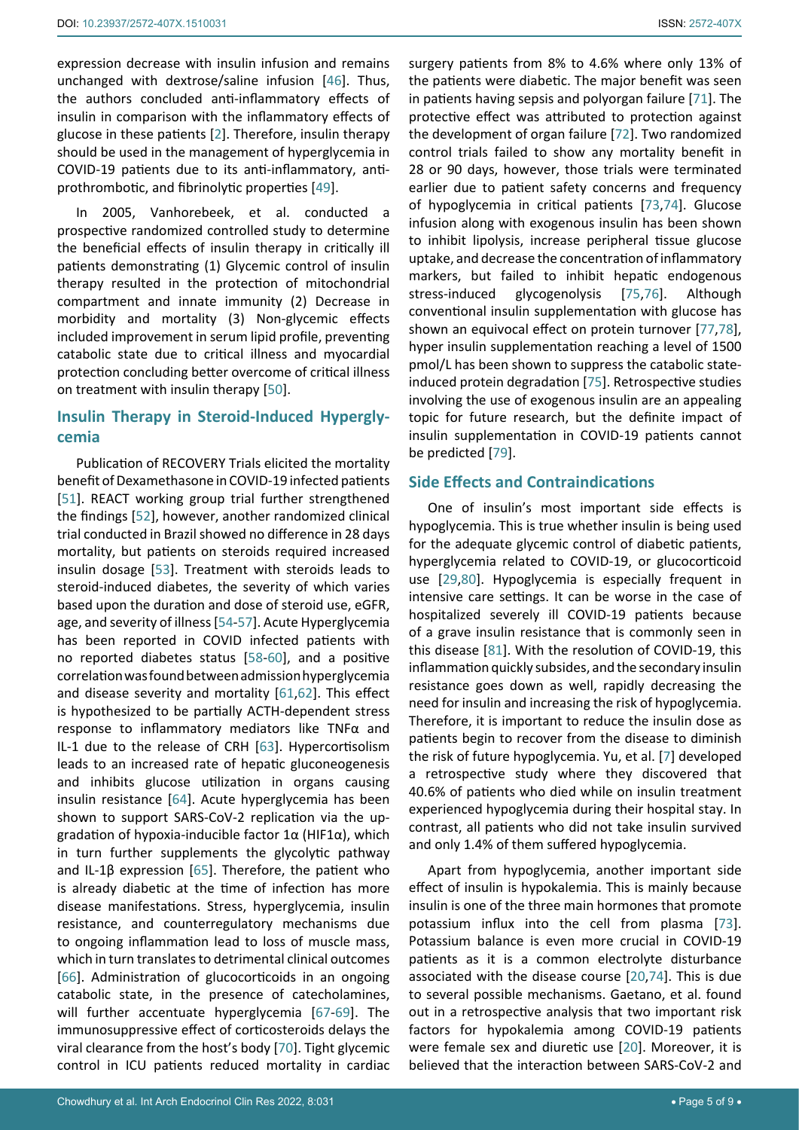expression decrease with insulin infusion and remains unchanged with dextrose/saline infusion [[46\]](#page-7-2). Thus, the authors concluded anti-inflammatory effects of insulin in comparison with the inflammatory effects of glucose in these patients [[2](#page-6-0)]. Therefore, insulin therapy should be used in the management of hyperglycemia in COVID-19 patients due to its anti-inflammatory, antiprothrombotic, and fibrinolytic properties [[49](#page-7-13)].

In 2005, Vanhorebeek, et al. conducted a prospective randomized controlled study to determine the beneficial effects of insulin therapy in critically ill patients demonstrating (1) Glycemic control of insulin therapy resulted in the protection of mitochondrial compartment and innate immunity (2) Decrease in morbidity and mortality (3) Non-glycemic effects included improvement in serum lipid profile, preventing catabolic state due to critical illness and myocardial protection concluding better overcome of critical illness on treatment with insulin therapy [[50\]](#page-7-14).

# **Insulin Therapy in Steroid-Induced Hyperglycemia**

Publication of RECOVERY Trials elicited the mortality benefit of Dexamethasone in COVID-19 infected patients [[51](#page-7-15)]. REACT working group trial further strengthened the findings [[52](#page-7-16)], however, another randomized clinical trial conducted in Brazil showed no difference in 28 days mortality, but patients on steroids required increased insulin dosage [[53\]](#page-7-17). Treatment with steroids leads to steroid-induced diabetes, the severity of which varies based upon the duration and dose of steroid use, eGFR, age, and severity of illness [[54](#page-7-18)[-57](#page-7-19)]. Acute Hyperglycemia has been reported in COVID infected patients with no reported diabetes status [[58](#page-7-20)[-60](#page-7-21)], and a positive correlation was found between admission hyperglycemia and disease severity and mortality [[61](#page-7-22),[62](#page-7-23)]. This effect is hypothesized to be partially ACTH-dependent stress response to inflammatory mediators like TNFα and IL-1 due to the release of CRH [[63](#page-7-24)]. Hypercortisolism leads to an increased rate of hepatic gluconeogenesis and inhibits glucose utilization in organs causing insulin resistance [[64](#page-7-25)]. Acute hyperglycemia has been shown to support SARS-CoV-2 replication via the upgradation of hypoxia-inducible factor  $1\alpha$  (HIF1 $\alpha$ ), which in turn further supplements the glycolytic pathway and IL-1β expression [[65](#page-7-26)]. Therefore, the patient who is already diabetic at the time of infection has more disease manifestations. Stress, hyperglycemia, insulin resistance, and counterregulatory mechanisms due to ongoing inflammation lead to loss of muscle mass, which in turn translates to detrimental clinical outcomes [[66](#page-7-27)]. Administration of glucocorticoids in an ongoing catabolic state, in the presence of catecholamines, will further accentuate hyperglycemia [[67](#page-7-28)-[69\]](#page-8-11). The immunosuppressive effect of corticosteroids delays the viral clearance from the host's body [[70\]](#page-8-12). Tight glycemic control in ICU patients reduced mortality in cardiac

surgery patients from 8% to 4.6% where only 13% of the patients were diabetic. The major benefit was seen in patients having sepsis and polyorgan failure [[71\]](#page-8-0). The protective effect was attributed to protection against the development of organ failure [[72](#page-8-1)]. Two randomized control trials failed to show any mortality benefit in 28 or 90 days, however, those trials were terminated earlier due to patient safety concerns and frequency of hypoglycemia in critical patients [[73,](#page-8-2)[74\]](#page-8-3). Glucose infusion along with exogenous insulin has been shown to inhibit lipolysis, increase peripheral tissue glucose uptake, and decrease the concentration of inflammatory markers, but failed to inhibit hepatic endogenous stress-induced glycogenolysis [[75](#page-8-4)[,76](#page-8-5)]. Although conventional insulin supplementation with glucose has shown an equivocal effect on protein turnover [[77](#page-8-6)[,78\]](#page-8-7), hyper insulin supplementation reaching a level of 1500 pmol/L has been shown to suppress the catabolic stateinduced protein degradation [[75](#page-8-4)]. Retrospective studies involving the use of exogenous insulin are an appealing topic for future research, but the definite impact of insulin supplementation in COVID-19 patients cannot be predicted [[79](#page-8-8)].

## **Side Effects and Contraindications**

One of insulin's most important side effects is hypoglycemia. This is true whether insulin is being used for the adequate glycemic control of diabetic patients, hyperglycemia related to COVID-19, or glucocorticoid use [[29](#page-6-23),[80\]](#page-8-9). Hypoglycemia is especially frequent in intensive care settings. It can be worse in the case of hospitalized severely ill COVID-19 patients because of a grave insulin resistance that is commonly seen in this disease [[81](#page-8-10)]. With the resolution of COVID-19, this inflammation quickly subsides, and the secondary insulin resistance goes down as well, rapidly decreasing the need for insulin and increasing the risk of hypoglycemia. Therefore, it is important to reduce the insulin dose as patients begin to recover from the disease to diminish the risk of future hypoglycemia. Yu, et al. [[7](#page-6-5)] developed a retrospective study where they discovered that 40.6% of patients who died while on insulin treatment experienced hypoglycemia during their hospital stay. In contrast, all patients who did not take insulin survived and only 1.4% of them suffered hypoglycemia.

Apart from hypoglycemia, another important side effect of insulin is hypokalemia. This is mainly because insulin is one of the three main hormones that promote potassium influx into the cell from plasma [[73\]](#page-8-2). Potassium balance is even more crucial in COVID-19 patients as it is a common electrolyte disturbance associated with the disease course [[20,](#page-6-14)[74\]](#page-8-3). This is due to several possible mechanisms. Gaetano, et al. found out in a retrospective analysis that two important risk factors for hypokalemia among COVID-19 patients were female sex and diuretic use [[20](#page-6-14)]. Moreover, it is believed that the interaction between SARS-CoV-2 and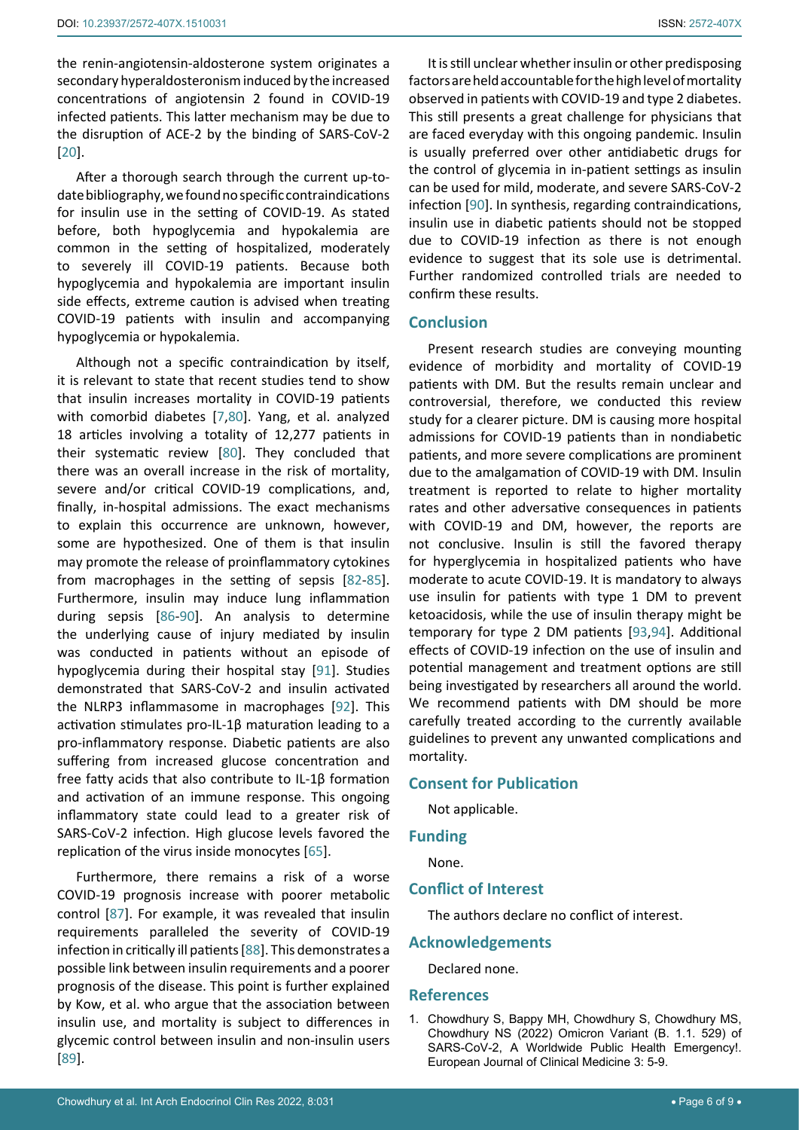the renin-angiotensin-aldosterone system originates a secondary hyperaldosteronism induced by the increased concentrations of angiotensin 2 found in COVID-19 infected patients. This latter mechanism may be due to the disruption of ACE-2 by the binding of SARS-CoV-2 [[20](#page-6-14)].

After a thorough search through the current up-todate bibliography, we found no specific contraindications for insulin use in the setting of COVID-19. As stated before, both hypoglycemia and hypokalemia are common in the setting of hospitalized, moderately to severely ill COVID-19 patients. Because both hypoglycemia and hypokalemia are important insulin side effects, extreme caution is advised when treating COVID-19 patients with insulin and accompanying hypoglycemia or hypokalemia.

Although not a specific contraindication by itself, it is relevant to state that recent studies tend to show that insulin increases mortality in COVID-19 patients with comorbid diabetes [[7](#page-6-5)[,80](#page-8-9)]. Yang, et al. analyzed 18 articles involving a totality of 12,277 patients in their systematic review [[80](#page-8-9)]. They concluded that there was an overall increase in the risk of mortality, severe and/or critical COVID-19 complications, and, finally, in-hospital admissions. The exact mechanisms to explain this occurrence are unknown, however, some are hypothesized. One of them is that insulin may promote the release of proinflammatory cytokines from macrophages in the setting of sepsis [[82](#page-8-16)[-85](#page-8-17)]. Furthermore, insulin may induce lung inflammation during sepsis [[86-](#page-8-18)[90](#page-8-13)]. An analysis to determine the underlying cause of injury mediated by insulin was conducted in patients without an episode of hypoglycemia during their hospital stay [[91\]](#page-8-19). Studies demonstrated that SARS-CoV-2 and insulin activated the NLRP3 inflammasome in macrophages [[92](#page-8-20)]. This activation stimulates pro-IL-1β maturation leading to a pro-inflammatory response. Diabetic patients are also suffering from increased glucose concentration and free fatty acids that also contribute to IL-1β formation and activation of an immune response. This ongoing inflammatory state could lead to a greater risk of SARS-CoV-2 infection. High glucose levels favored the replication of the virus inside monocytes [[65\]](#page-7-26).

Furthermore, there remains a risk of a worse COVID-19 prognosis increase with poorer metabolic control [[87](#page-8-21)]. For example, it was revealed that insulin requirements paralleled the severity of COVID-19 infection in critically ill patients [[88](#page-8-22)]. This demonstrates a possible link between insulin requirements and a poorer prognosis of the disease. This point is further explained by Kow, et al. who argue that the association between insulin use, and mortality is subject to differences in glycemic control between insulin and non-insulin users [[89](#page-8-23)].

It is still unclear whether insulin or other predisposing factors are held accountable for the high level of mortality observed in patients with COVID-19 and type 2 diabetes. This still presents a great challenge for physicians that are faced everyday with this ongoing pandemic. Insulin is usually preferred over other antidiabetic drugs for the control of glycemia in in-patient settings as insulin can be used for mild, moderate, and severe SARS-CoV-2 infection [[90](#page-8-13)]. In synthesis, regarding contraindications, insulin use in diabetic patients should not be stopped due to COVID-19 infection as there is not enough evidence to suggest that its sole use is detrimental. Further randomized controlled trials are needed to confirm these results.

### **Conclusion**

Present research studies are conveying mounting evidence of morbidity and mortality of COVID-19 patients with DM. But the results remain unclear and controversial, therefore, we conducted this review study for a clearer picture. DM is causing more hospital admissions for COVID-19 patients than in nondiabetic patients, and more severe complications are prominent due to the amalgamation of COVID-19 with DM. Insulin treatment is reported to relate to higher mortality rates and other adversative consequences in patients with COVID-19 and DM, however, the reports are not conclusive. Insulin is still the favored therapy for hyperglycemia in hospitalized patients who have moderate to acute COVID-19. It is mandatory to always use insulin for patients with type 1 DM to prevent ketoacidosis, while the use of insulin therapy might be temporary for type 2 DM patients [[93](#page-8-14)[,94](#page-8-15)]. Additional effects of COVID-19 infection on the use of insulin and potential management and treatment options are still being investigated by researchers all around the world. We recommend patients with DM should be more carefully treated according to the currently available guidelines to prevent any unwanted complications and mortality.

## **Consent for Publication**

Not applicable.

## **Funding**

None.

## **Conflict of Interest**

The authors declare no conflict of interest.

### **Acknowledgements**

Declared none.

### **References**

<span id="page-5-0"></span>1. [Chowdhury S, Bappy MH, Chowdhury S, Chowdhury MS,](https://www.ej-clinicmed.org/index.php/clinicmed/article/view/159)  [Chowdhury NS \(2022\) Omicron Variant \(B. 1.1. 529\) of](https://www.ej-clinicmed.org/index.php/clinicmed/article/view/159)  [SARS-CoV-2, A Worldwide Public Health Emergency!.](https://www.ej-clinicmed.org/index.php/clinicmed/article/view/159)  [European Journal of Clinical Medicine 3: 5-9.](https://www.ej-clinicmed.org/index.php/clinicmed/article/view/159)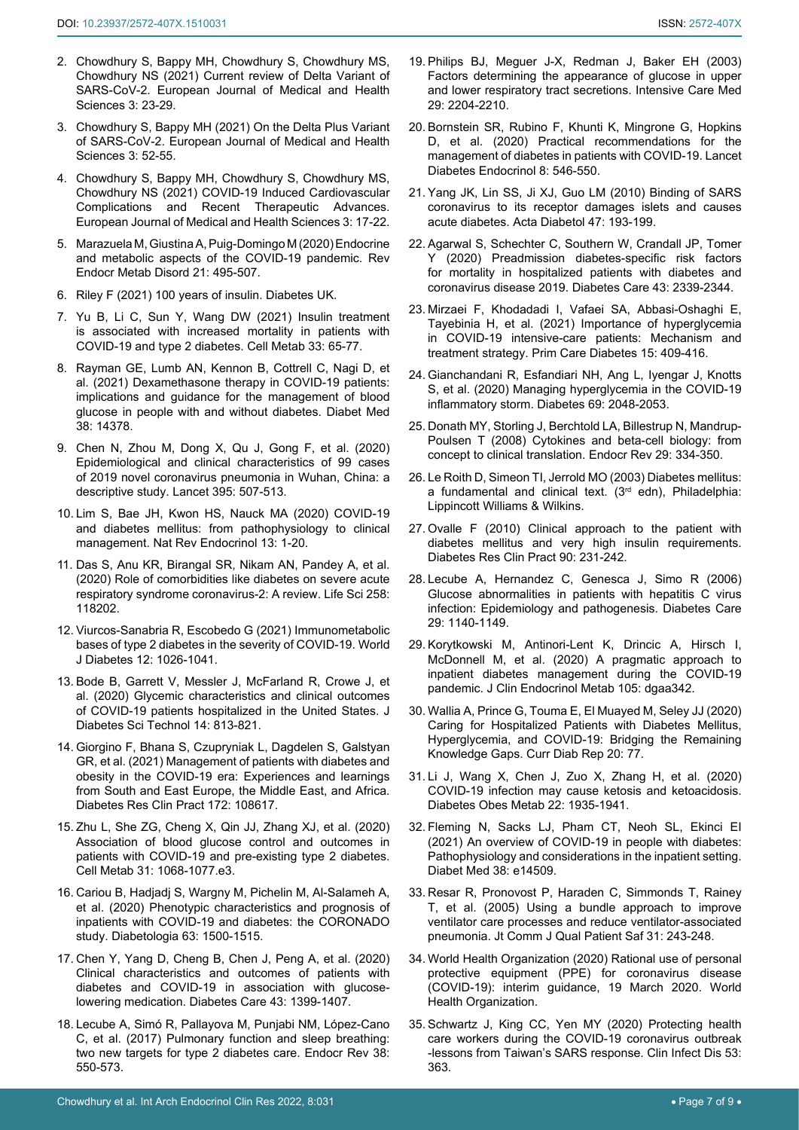- <span id="page-6-0"></span>2. Chowdhury S, Bappy MH, Chowdhury S, Chowdhury MS, Chowdhury NS (2021) Current review of Delta Variant of SARS-CoV-2. European Journal of Medical and Health Sciences 3: 23-29.
- <span id="page-6-1"></span>3. Chowdhury S, Bappy MH (2021) On the Delta Plus Variant of SARS-CoV-2. European Journal of Medical and Health Sciences 3: 52-55.
- <span id="page-6-2"></span>4. [Chowdhury S, Bappy MH, Chowdhury S, Chowdhury MS,](https://ejmed.org/index.php/ejmed/article/view/1099)  [Chowdhury NS \(2021\) COVID-19 Induced Cardiovascular](https://ejmed.org/index.php/ejmed/article/view/1099)  [Complications and Recent Therapeutic Advances.](https://ejmed.org/index.php/ejmed/article/view/1099)  [European Journal of Medical and Health Sciences 3: 17-22.](https://ejmed.org/index.php/ejmed/article/view/1099)
- <span id="page-6-3"></span>5. [Marazuela M, Giustina A, Puig-Domingo M \(2020\) Endocrine](https://pubmed.ncbi.nlm.nih.gov/32643004/)  [and metabolic aspects of the COVID-19 pandemic. Rev](https://pubmed.ncbi.nlm.nih.gov/32643004/)  [Endocr Metab Disord 21: 495-507.](https://pubmed.ncbi.nlm.nih.gov/32643004/)
- <span id="page-6-4"></span>6. [Riley F \(2021\) 100 years of insulin. Diabetes UK.](https://www.diabetes.org.uk/research/research-impact/insulin)
- <span id="page-6-5"></span>7. [Yu B, Li C, Sun Y, Wang DW \(2021\) Insulin treatment](https://pubmed.ncbi.nlm.nih.gov/33248471/)  [is associated with increased mortality in patients with](https://pubmed.ncbi.nlm.nih.gov/33248471/)  [COVID-19 and type 2 diabetes. Cell Metab 33: 65-77.](https://pubmed.ncbi.nlm.nih.gov/33248471/)
- <span id="page-6-6"></span>8. [Rayman GE, Lumb AN, Kennon B, Cottrell C, Nagi D, et](https://pubmed.ncbi.nlm.nih.gov/32740972/)  [al. \(2021\) Dexamethasone therapy in COVID-19 patients:](https://pubmed.ncbi.nlm.nih.gov/32740972/)  [implications and guidance for the management of blood](https://pubmed.ncbi.nlm.nih.gov/32740972/)  [glucose in people with and without diabetes. Diabet Med](https://pubmed.ncbi.nlm.nih.gov/32740972/)  [38: 14378.](https://pubmed.ncbi.nlm.nih.gov/32740972/)
- <span id="page-6-7"></span>9. [Chen N, Zhou M, Dong X, Qu J, Gong F, et al. \(2020\)](https://pubmed.ncbi.nlm.nih.gov/32007143/)  [Epidemiological and clinical characteristics of 99 cases](https://pubmed.ncbi.nlm.nih.gov/32007143/)  [of 2019 novel coronavirus pneumonia in Wuhan, China: a](https://pubmed.ncbi.nlm.nih.gov/32007143/)  [descriptive study. Lancet 395: 507-513.](https://pubmed.ncbi.nlm.nih.gov/32007143/)
- <span id="page-6-8"></span>10. [Lim S, Bae JH, Kwon HS, Nauck MA \(2020\) COVID-19](https://www.ncbi.nlm.nih.gov/pmc/articles/PMC7664589/)  [and diabetes mellitus: from pathophysiology to clinical](https://www.ncbi.nlm.nih.gov/pmc/articles/PMC7664589/)  [management. Nat Rev Endocrinol 13: 1-20.](https://www.ncbi.nlm.nih.gov/pmc/articles/PMC7664589/)
- <span id="page-6-9"></span>11. [Das S, Anu KR, Birangal SR, Nikam AN, Pandey A, et al.](https://www.ncbi.nlm.nih.gov/pmc/articles/PMC7397991/)  [\(2020\) Role of comorbidities like diabetes on severe acute](https://www.ncbi.nlm.nih.gov/pmc/articles/PMC7397991/)  [respiratory syndrome coronavirus-2: A review. Life Sci 258:](https://www.ncbi.nlm.nih.gov/pmc/articles/PMC7397991/)  [118202.](https://www.ncbi.nlm.nih.gov/pmc/articles/PMC7397991/)
- <span id="page-6-28"></span>12. [Viurcos-Sanabria R, Escobedo G \(2021\) Immunometabolic](https://www.ncbi.nlm.nih.gov/pmc/articles/PMC8311488/)  [bases of type 2 diabetes in the severity of COVID-19. World](https://www.ncbi.nlm.nih.gov/pmc/articles/PMC8311488/)  [J Diabetes 12: 1026-1041.](https://www.ncbi.nlm.nih.gov/pmc/articles/PMC8311488/)
- <span id="page-6-29"></span>13. [Bode B, Garrett V, Messler J, McFarland R, Crowe J, et](https://pubmed.ncbi.nlm.nih.gov/32389027/)  [al. \(2020\) Glycemic characteristics and clinical outcomes](https://pubmed.ncbi.nlm.nih.gov/32389027/)  [of COVID-19 patients hospitalized in the United States. J](https://pubmed.ncbi.nlm.nih.gov/32389027/)  [Diabetes Sci Technol 14: 813-821.](https://pubmed.ncbi.nlm.nih.gov/32389027/)
- <span id="page-6-27"></span>14. [Giorgino F, Bhana S, Czupryniak L, Dagdelen S, Galstyan](https://pubmed.ncbi.nlm.nih.gov/33310175/)  [GR, et al. \(2021\) Management of patients with diabetes and](https://pubmed.ncbi.nlm.nih.gov/33310175/)  [obesity in the COVID-19 era: Experiences and learnings](https://pubmed.ncbi.nlm.nih.gov/33310175/)  [from South and East Europe, the Middle East, and Africa.](https://pubmed.ncbi.nlm.nih.gov/33310175/)  [Diabetes Res Clin Pract 172: 108617.](https://pubmed.ncbi.nlm.nih.gov/33310175/)
- <span id="page-6-25"></span>15. [Zhu L, She ZG, Cheng X, Qin JJ, Zhang XJ, et al. \(2020\)](https://pubmed.ncbi.nlm.nih.gov/32369736/)  [Association of blood glucose control and outcomes in](https://pubmed.ncbi.nlm.nih.gov/32369736/)  [patients with COVID-19 and pre-existing type 2 diabetes.](https://pubmed.ncbi.nlm.nih.gov/32369736/)  [Cell Metab 31: 1068-1077.e3.](https://pubmed.ncbi.nlm.nih.gov/32369736/)
- <span id="page-6-10"></span>16. [Cariou B, Hadjadj S, Wargny M, Pichelin M, Al-Salameh A,](https://pubmed.ncbi.nlm.nih.gov/32472191/)  [et al. \(2020\) Phenotypic characteristics and prognosis of](https://pubmed.ncbi.nlm.nih.gov/32472191/)  [inpatients with COVID-19 and diabetes: the CORONADO](https://pubmed.ncbi.nlm.nih.gov/32472191/)  [study. Diabetologia 63: 1500-1515.](https://pubmed.ncbi.nlm.nih.gov/32472191/)
- <span id="page-6-11"></span>17. [Chen Y, Yang D, Cheng B, Chen J, Peng A, et al. \(2020\)](https://pubmed.ncbi.nlm.nih.gov/32409498/)  [Clinical characteristics and outcomes of patients with](https://pubmed.ncbi.nlm.nih.gov/32409498/)  [diabetes and COVID-19 in association with glucose](https://pubmed.ncbi.nlm.nih.gov/32409498/)[lowering medication. Diabetes Care 43: 1399-1407.](https://pubmed.ncbi.nlm.nih.gov/32409498/)
- <span id="page-6-12"></span>18. [Lecube A, Simó R, Pallayova M, Punjabi NM, López-Cano](https://pubmed.ncbi.nlm.nih.gov/28938479/)  [C, et al. \(2017\) Pulmonary function and sleep breathing:](https://pubmed.ncbi.nlm.nih.gov/28938479/)  [two new targets for type 2 diabetes care. Endocr Rev 38:](https://pubmed.ncbi.nlm.nih.gov/28938479/)  [550-573.](https://pubmed.ncbi.nlm.nih.gov/28938479/)
- <span id="page-6-13"></span>19. [Philips BJ, Meguer J-X, Redman J, Baker EH \(2003\)](https://pubmed.ncbi.nlm.nih.gov/14647890/)  [Factors determining the appearance of glucose in upper](https://pubmed.ncbi.nlm.nih.gov/14647890/)  [and lower respiratory tract secretions. Intensive Care Med](https://pubmed.ncbi.nlm.nih.gov/14647890/)  [29: 2204-2210.](https://pubmed.ncbi.nlm.nih.gov/14647890/)
- <span id="page-6-14"></span>20. [Bornstein SR, Rubino F, Khunti K, Mingrone G, Hopkins](https://pubmed.ncbi.nlm.nih.gov/32334646/)  [D, et al. \(2020\) Practical recommendations for the](https://pubmed.ncbi.nlm.nih.gov/32334646/)  [management of diabetes in patients with COVID-19. Lancet](https://pubmed.ncbi.nlm.nih.gov/32334646/)  [Diabetes Endocrinol 8: 546-550.](https://pubmed.ncbi.nlm.nih.gov/32334646/)
- <span id="page-6-15"></span>21. [Yang JK, Lin SS, Ji XJ, Guo LM \(2010\) Binding of SARS](https://pubmed.ncbi.nlm.nih.gov/19333547/)  [coronavirus to its receptor damages islets and causes](https://pubmed.ncbi.nlm.nih.gov/19333547/)  [acute diabetes. Acta Diabetol 47: 193-199.](https://pubmed.ncbi.nlm.nih.gov/19333547/)
- <span id="page-6-16"></span>22. [Agarwal S, Schechter C, Southern W, Crandall JP, Tomer](https://pubmed.ncbi.nlm.nih.gov/32769128/)  [Y \(2020\) Preadmission diabetes-specific risk factors](https://pubmed.ncbi.nlm.nih.gov/32769128/)  [for mortality in hospitalized patients with diabetes and](https://pubmed.ncbi.nlm.nih.gov/32769128/)  [coronavirus disease 2019. Diabetes Care 43: 2339-2344.](https://pubmed.ncbi.nlm.nih.gov/32769128/)
- <span id="page-6-17"></span>23. [Mirzaei F, Khodadadi I, Vafaei SA, Abbasi-Oshaghi E,](https://pubmed.ncbi.nlm.nih.gov/33436320/)  [Tayebinia H, et al. \(2021\) Importance of hyperglycemia](https://pubmed.ncbi.nlm.nih.gov/33436320/)  [in COVID-19 intensive-care patients: Mechanism and](https://pubmed.ncbi.nlm.nih.gov/33436320/)  [treatment strategy. Prim Care Diabetes 15: 409-416.](https://pubmed.ncbi.nlm.nih.gov/33436320/)
- <span id="page-6-18"></span>24. [Gianchandani R, Esfandiari NH, Ang L, Iyengar J, Knotts](https://pubmed.ncbi.nlm.nih.gov/32778570/)  [S, et al. \(2020\) Managing hyperglycemia in the COVID-19](https://pubmed.ncbi.nlm.nih.gov/32778570/)  [inflammatory storm. Diabetes 69: 2048-2053.](https://pubmed.ncbi.nlm.nih.gov/32778570/)
- <span id="page-6-19"></span>25. [Donath MY, Storling J, Berchtold LA, Billestrup N, Mandrup-](https://pubmed.ncbi.nlm.nih.gov/18048762/)[Poulsen T \(2008\) Cytokines and beta-cell biology: from](https://pubmed.ncbi.nlm.nih.gov/18048762/)  [concept to clinical translation. Endocr Rev 29: 334-350.](https://pubmed.ncbi.nlm.nih.gov/18048762/)
- <span id="page-6-20"></span>26. [Le Roith D, Simeon TI, Jerrold MO \(2003\) Diabetes mellitus:](https://www.wolterskluwer.com/en/solutions/ovid/diabetes-mellitus-a-fundamental-and-clinical-text-3260)  a fundamental and clinical text.  $(3<sup>rd</sup>$  edn), Philadelphia: [Lippincott Williams & Wilkins.](https://www.wolterskluwer.com/en/solutions/ovid/diabetes-mellitus-a-fundamental-and-clinical-text-3260)
- <span id="page-6-21"></span>27. [Ovalle F \(2010\) Clinical approach to the patient with](https://pubmed.ncbi.nlm.nih.gov/20724017/)  [diabetes mellitus and very high insulin requirements.](https://pubmed.ncbi.nlm.nih.gov/20724017/)  [Diabetes Res Clin Pract 90: 231-242.](https://pubmed.ncbi.nlm.nih.gov/20724017/)
- <span id="page-6-22"></span>28. [Lecube A, Hernandez C, Genesca J, Simo R \(2006\)](https://pubmed.ncbi.nlm.nih.gov/16644655/)  [Glucose abnormalities in patients with hepatitis C virus](https://pubmed.ncbi.nlm.nih.gov/16644655/)  [infection: Epidemiology and pathogenesis. Diabetes Care](https://pubmed.ncbi.nlm.nih.gov/16644655/)  [29: 1140-1149.](https://pubmed.ncbi.nlm.nih.gov/16644655/)
- <span id="page-6-23"></span>29. [Korytkowski M, Antinori-Lent K, Drincic A, Hirsch I,](https://pubmed.ncbi.nlm.nih.gov/32498085/)  [McDonnell M, et al. \(2020\) A pragmatic approach to](https://pubmed.ncbi.nlm.nih.gov/32498085/)  [inpatient diabetes management during the COVID-19](https://pubmed.ncbi.nlm.nih.gov/32498085/)  [pandemic. J Clin Endocrinol Metab 105: dgaa342.](https://pubmed.ncbi.nlm.nih.gov/32498085/)
- <span id="page-6-24"></span>30. [Wallia A, Prince G, Touma E, El Muayed M, Seley JJ \(2020\)](https://pubmed.ncbi.nlm.nih.gov/33244614/)  [Caring for Hospitalized Patients with Diabetes Mellitus,](https://pubmed.ncbi.nlm.nih.gov/33244614/)  [Hyperglycemia, and COVID-19: Bridging the Remaining](https://pubmed.ncbi.nlm.nih.gov/33244614/)  [Knowledge Gaps. Curr Diab Rep 20: 77.](https://pubmed.ncbi.nlm.nih.gov/33244614/)
- <span id="page-6-26"></span>31. [Li J, Wang X, Chen J, Zuo X, Zhang H, et al. \(2020\)](https://pubmed.ncbi.nlm.nih.gov/32314455/)  [COVID-19 infection may cause ketosis and ketoacidosis.](https://pubmed.ncbi.nlm.nih.gov/32314455/)  [Diabetes Obes Metab 22: 1935-1941.](https://pubmed.ncbi.nlm.nih.gov/32314455/)
- <span id="page-6-30"></span>32. [Fleming N, Sacks LJ, Pham CT, Neoh SL, Ekinci EI](https://pubmed.ncbi.nlm.nih.gov/33377213/)  [\(2021\) An overview of COVID-19 in people with diabetes:](https://pubmed.ncbi.nlm.nih.gov/33377213/)  [Pathophysiology and considerations in the inpatient setting.](https://pubmed.ncbi.nlm.nih.gov/33377213/)  [Diabet Med 38: e14509.](https://pubmed.ncbi.nlm.nih.gov/33377213/)
- <span id="page-6-31"></span>33. [Resar R, Pronovost P, Haraden C, Simmonds T, Rainey](https://pubmed.ncbi.nlm.nih.gov/15960014/)  [T, et al. \(2005\) Using a bundle approach to improve](https://pubmed.ncbi.nlm.nih.gov/15960014/)  [ventilator care processes and reduce ventilator-associated](https://pubmed.ncbi.nlm.nih.gov/15960014/)  [pneumonia. Jt Comm J Qual Patient Saf 31: 243-248.](https://pubmed.ncbi.nlm.nih.gov/15960014/)
- 34. [World Health Organization \(2020\) Rational use of personal](https://apps.who.int/iris/handle/10665/331498)  [protective equipment \(PPE\) for coronavirus disease](https://apps.who.int/iris/handle/10665/331498)  [\(COVID-19\): interim guidance, 19 March 2020. World](https://apps.who.int/iris/handle/10665/331498)  [Health Organization.](https://apps.who.int/iris/handle/10665/331498)
- 35. Schwartz J, King CC, Yen MY (2020) Protecting health care workers during the COVID-19 coronavirus outbreak -lessons from Taiwan's SARS response. Clin Infect Dis 53: 363.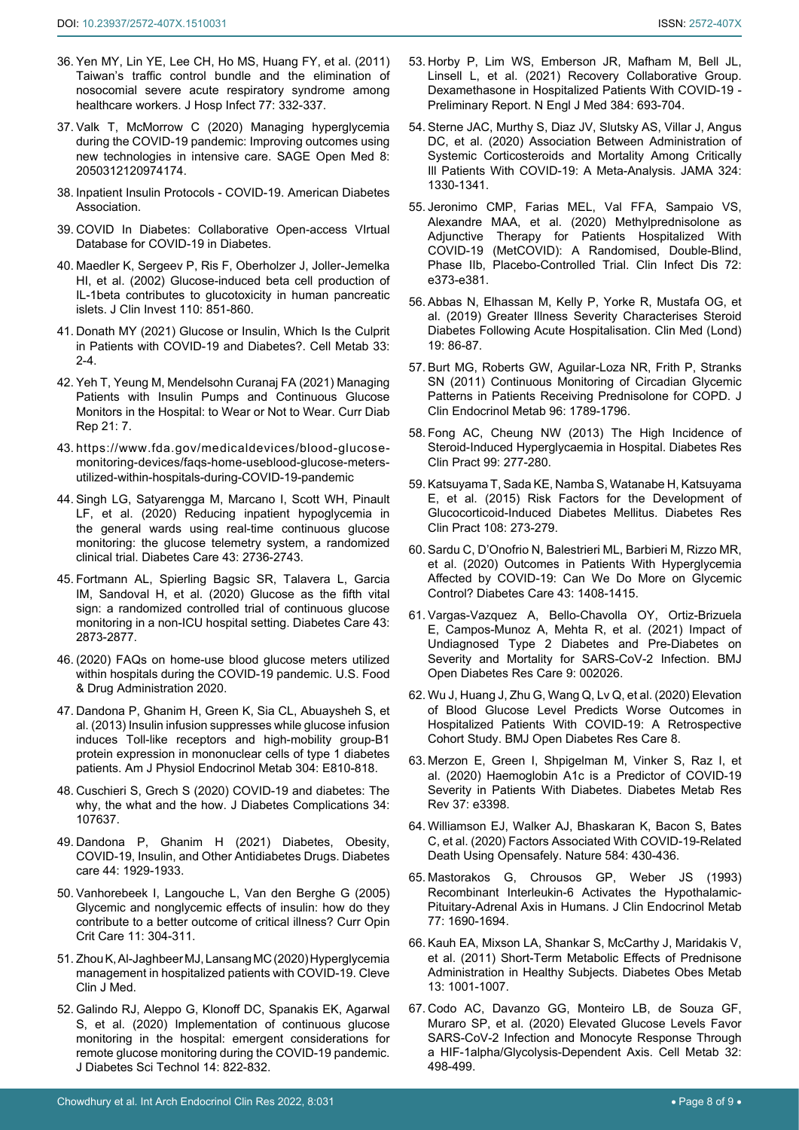- <span id="page-7-5"></span>36. [Yen MY, Lin YE, Lee CH, Ho MS, Huang FY, et al. \(2011\)](https://pubmed.ncbi.nlm.nih.gov/21316802/)  [Taiwan's traffic control bundle and the elimination of](https://pubmed.ncbi.nlm.nih.gov/21316802/)  [nosocomial severe acute respiratory syndrome among](https://pubmed.ncbi.nlm.nih.gov/21316802/)  [healthcare workers. J Hosp Infect 77: 332-337.](https://pubmed.ncbi.nlm.nih.gov/21316802/)
- <span id="page-7-6"></span>37. [Valk T, McMorrow C \(2020\) Managing hyperglycemia](https://pubmed.ncbi.nlm.nih.gov/33282306/)  [during the COVID-19 pandemic: Improving outcomes using](https://pubmed.ncbi.nlm.nih.gov/33282306/)  [new technologies in intensive care. SAGE Open Med 8:](https://pubmed.ncbi.nlm.nih.gov/33282306/)  [2050312120974174.](https://pubmed.ncbi.nlm.nih.gov/33282306/)
- <span id="page-7-7"></span>38. [Inpatient Insulin Protocols - COVID-19. American Diabetes](https://professional.diabetes.org/content-page/inpatient-insulin-protocols-COVID-19)  [Association.](https://professional.diabetes.org/content-page/inpatient-insulin-protocols-COVID-19)
- <span id="page-7-8"></span>39. [COVID In Diabetes: Collaborative Open-access VIrtual](https://www.managedcarecgm.com/collaborative-open-access-virtually-individualized-decision-algorithms-for-inpatient-diabetes/)  [Database for COVID-19 in Diabetes.](https://www.managedcarecgm.com/collaborative-open-access-virtually-individualized-decision-algorithms-for-inpatient-diabetes/)
- <span id="page-7-9"></span>40. [Maedler K, Sergeev P, Ris F, Oberholzer J, Joller-Jemelka](https://pubmed.ncbi.nlm.nih.gov/12235117/)  [HI, et al. \(2002\) Glucose-induced beta cell production of](https://pubmed.ncbi.nlm.nih.gov/12235117/)  [IL-1beta contributes to glucotoxicity in human pancreatic](https://pubmed.ncbi.nlm.nih.gov/12235117/)  [islets. J Clin Invest 110: 851-860.](https://pubmed.ncbi.nlm.nih.gov/12235117/)
- <span id="page-7-10"></span>41. [Donath MY \(2021\) Glucose or Insulin, Which Is the Culprit](https://pubmed.ncbi.nlm.nih.gov/33248018/)  [in Patients with COVID-19 and Diabetes?. Cell Metab 33:](https://pubmed.ncbi.nlm.nih.gov/33248018/)  [2-4.](https://pubmed.ncbi.nlm.nih.gov/33248018/)
- <span id="page-7-11"></span>42. [Yeh T, Yeung M, Mendelsohn Curanaj FA \(2021\) Managing](https://www.ncbi.nlm.nih.gov/pmc/articles/PMC7810103/)  [Patients with Insulin Pumps and Continuous Glucose](https://www.ncbi.nlm.nih.gov/pmc/articles/PMC7810103/)  [Monitors in the Hospital: to Wear or Not to Wear. Curr Diab](https://www.ncbi.nlm.nih.gov/pmc/articles/PMC7810103/)  [Rep 21: 7.](https://www.ncbi.nlm.nih.gov/pmc/articles/PMC7810103/)
- <span id="page-7-12"></span>43. [https://www.fda.gov/medicaldevices/blood-glucose](https://www.fda.gov/medicaldevices/blood-glucose-monitoring-devices/faqs-home-useblood-glucose-meters-utilized-within-hospitals-during-COVID-19-pandemic)[monitoring-devices/faqs-home-useblood-glucose-meters](https://www.fda.gov/medicaldevices/blood-glucose-monitoring-devices/faqs-home-useblood-glucose-meters-utilized-within-hospitals-during-COVID-19-pandemic)[utilized-within-hospitals-during-COVID-19-pandemic](https://www.fda.gov/medicaldevices/blood-glucose-monitoring-devices/faqs-home-useblood-glucose-meters-utilized-within-hospitals-during-COVID-19-pandemic)
- <span id="page-7-0"></span>44. [Singh LG, Satyarengga M, Marcano I, Scott WH, Pinault](https://diabetesjournals.org/care/article/43/11/2736/35755/Reducing-Inpatient-Hypoglycemia-in-the-General)  [LF, et al. \(2020\) Reducing inpatient hypoglycemia in](https://diabetesjournals.org/care/article/43/11/2736/35755/Reducing-Inpatient-Hypoglycemia-in-the-General)  [the general wards using real-time continuous glucose](https://diabetesjournals.org/care/article/43/11/2736/35755/Reducing-Inpatient-Hypoglycemia-in-the-General)  [monitoring: the glucose telemetry system, a randomized](https://diabetesjournals.org/care/article/43/11/2736/35755/Reducing-Inpatient-Hypoglycemia-in-the-General)  [clinical trial. Diabetes Care 43: 2736-2743.](https://diabetesjournals.org/care/article/43/11/2736/35755/Reducing-Inpatient-Hypoglycemia-in-the-General)
- <span id="page-7-1"></span>45. [Fortmann AL, Spierling Bagsic SR, Talavera L, Garcia](https://pubmed.ncbi.nlm.nih.gov/32855160/)  [IM, Sandoval H, et al. \(2020\) Glucose as the fifth vital](https://pubmed.ncbi.nlm.nih.gov/32855160/)  [sign: a randomized controlled trial of continuous glucose](https://pubmed.ncbi.nlm.nih.gov/32855160/)  [monitoring in a non-ICU hospital setting. Diabetes Care 43:](https://pubmed.ncbi.nlm.nih.gov/32855160/)  [2873-2877.](https://pubmed.ncbi.nlm.nih.gov/32855160/)
- <span id="page-7-2"></span>46. (2020) FAQs on home-use blood glucose meters utilized within hospitals during the COVID-19 pandemic. U.S. Food & Drug Administration 2020.
- <span id="page-7-3"></span>47. [Dandona P, Ghanim H, Green K, Sia CL, Abuaysheh S, et](https://pubmed.ncbi.nlm.nih.gov/23403945/)  [al. \(2013\) Insulin infusion suppresses while glucose infusion](https://pubmed.ncbi.nlm.nih.gov/23403945/)  [induces Toll-like receptors and high-mobility group-B1](https://pubmed.ncbi.nlm.nih.gov/23403945/)  [protein expression in mononuclear cells of type 1 diabetes](https://pubmed.ncbi.nlm.nih.gov/23403945/)  [patients. Am J Physiol Endocrinol Metab 304: E810-818.](https://pubmed.ncbi.nlm.nih.gov/23403945/)
- <span id="page-7-4"></span>48. [Cuschieri S, Grech S \(2020\) COVID-19 and diabetes: The](https://www.ncbi.nlm.nih.gov/pmc/articles/PMC7242955/)  [why, the what and the how. J Diabetes Complications 34:](https://www.ncbi.nlm.nih.gov/pmc/articles/PMC7242955/)  [107637.](https://www.ncbi.nlm.nih.gov/pmc/articles/PMC7242955/)
- <span id="page-7-13"></span>49. [Dandona P, Ghanim H \(2021\) Diabetes, Obesity,](https://pubmed.ncbi.nlm.nih.gov/34244331/)  [COVID-19, Insulin, and Other Antidiabetes Drugs. Diabetes](https://pubmed.ncbi.nlm.nih.gov/34244331/)  [care 44: 1929-1933.](https://pubmed.ncbi.nlm.nih.gov/34244331/)
- <span id="page-7-14"></span>50. [Vanhorebeek I, Langouche L, Van den Berghe G \(2005\)](https://pubmed.ncbi.nlm.nih.gov/16015107/)  [Glycemic and nonglycemic effects of insulin: how do they](https://pubmed.ncbi.nlm.nih.gov/16015107/)  [contribute to a better outcome of critical illness? Curr Opin](https://pubmed.ncbi.nlm.nih.gov/16015107/)  [Crit Care 11: 304-311.](https://pubmed.ncbi.nlm.nih.gov/16015107/)
- <span id="page-7-15"></span>51. [Zhou K, Al-Jaghbeer MJ, Lansang MC \(2020\) Hyperglycemia](https://pubmed.ncbi.nlm.nih.gov/32371556/)  [management in hospitalized patients with COVID-19. Cleve](https://pubmed.ncbi.nlm.nih.gov/32371556/)  [Clin J Med.](https://pubmed.ncbi.nlm.nih.gov/32371556/)
- <span id="page-7-16"></span>52. [Galindo RJ, Aleppo G, Klonoff DC, Spanakis EK, Agarwal](https://pubmed.ncbi.nlm.nih.gov/32536205/)  [S, et al. \(2020\) Implementation of continuous glucose](https://pubmed.ncbi.nlm.nih.gov/32536205/)  [monitoring in the hospital: emergent considerations for](https://pubmed.ncbi.nlm.nih.gov/32536205/)  [remote glucose monitoring during the COVID-19 pandemic.](https://pubmed.ncbi.nlm.nih.gov/32536205/)  [J Diabetes Sci Technol 14: 822-832.](https://pubmed.ncbi.nlm.nih.gov/32536205/)
- <span id="page-7-17"></span>53. Horby P, Lim WS, Emberson JR, Mafham M, Bell JL, Linsell L, et al. (2021) Recovery Collaborative Group. Dexamethasone in Hospitalized Patients With COVID-19 - Preliminary Report. N Engl J Med 384: 693-704.
- <span id="page-7-18"></span>54. [Sterne JAC, Murthy S, Diaz JV, Slutsky AS, Villar J, Angus](https://pubmed.ncbi.nlm.nih.gov/32876694/)  [DC, et al. \(2020\) Association Between Administration of](https://pubmed.ncbi.nlm.nih.gov/32876694/)  [Systemic Corticosteroids and Mortality Among Critically](https://pubmed.ncbi.nlm.nih.gov/32876694/)  [Ill Patients With COVID-19: A Meta-Analysis. JAMA 324:](https://pubmed.ncbi.nlm.nih.gov/32876694/)  [1330-1341.](https://pubmed.ncbi.nlm.nih.gov/32876694/)
- 55. [Jeronimo CMP, Farias MEL, Val FFA, Sampaio VS,](https://pubmed.ncbi.nlm.nih.gov/32785710/)  [Alexandre MAA, et al. \(2020\) Methylprednisolone as](https://pubmed.ncbi.nlm.nih.gov/32785710/)  [Adjunctive Therapy for Patients Hospitalized With](https://pubmed.ncbi.nlm.nih.gov/32785710/)  [COVID-19 \(MetCOVID\): A Randomised, Double-Blind,](https://pubmed.ncbi.nlm.nih.gov/32785710/)  [Phase IIb, Placebo-Controlled Trial. Clin Infect Dis 72:](https://pubmed.ncbi.nlm.nih.gov/32785710/)  [e373-e381.](https://pubmed.ncbi.nlm.nih.gov/32785710/)
- 56. [Abbas N, Elhassan M, Kelly P, Yorke R, Mustafa OG, et](https://pubmed.ncbi.nlm.nih.gov/30651256/)  [al. \(2019\) Greater Illness Severity Characterises Steroid](https://pubmed.ncbi.nlm.nih.gov/30651256/)  [Diabetes Following Acute Hospitalisation. Clin Med \(Lond\)](https://pubmed.ncbi.nlm.nih.gov/30651256/)  [19: 86-87.](https://pubmed.ncbi.nlm.nih.gov/30651256/)
- <span id="page-7-19"></span>57. [Burt MG, Roberts GW, Aguilar-Loza NR, Frith P, Stranks](https://pubmed.ncbi.nlm.nih.gov/21411550/)  [SN \(2011\) Continuous Monitoring of Circadian Glycemic](https://pubmed.ncbi.nlm.nih.gov/21411550/)  [Patterns in Patients Receiving Prednisolone for COPD. J](https://pubmed.ncbi.nlm.nih.gov/21411550/)  [Clin Endocrinol Metab 96: 1789-1796.](https://pubmed.ncbi.nlm.nih.gov/21411550/)
- <span id="page-7-20"></span>58. [Fong AC, Cheung NW \(2013\) The High Incidence of](https://pubmed.ncbi.nlm.nih.gov/23298665/)  [Steroid-Induced Hyperglycaemia in Hospital. Diabetes Res](https://pubmed.ncbi.nlm.nih.gov/23298665/)  [Clin Pract 99: 277-280.](https://pubmed.ncbi.nlm.nih.gov/23298665/)
- 59. [Katsuyama T, Sada KE, Namba S, Watanabe H, Katsuyama](https://pubmed.ncbi.nlm.nih.gov/25765669/)  [E, et al. \(2015\) Risk Factors for the Development of](https://pubmed.ncbi.nlm.nih.gov/25765669/)  [Glucocorticoid-Induced Diabetes Mellitus. Diabetes Res](https://pubmed.ncbi.nlm.nih.gov/25765669/)  [Clin Pract 108: 273-279.](https://pubmed.ncbi.nlm.nih.gov/25765669/)
- <span id="page-7-21"></span>60. [Sardu C, D'Onofrio N, Balestrieri ML, Barbieri M, Rizzo MR,](https://pubmed.ncbi.nlm.nih.gov/32430456/)  [et al. \(2020\) Outcomes in Patients With Hyperglycemia](https://pubmed.ncbi.nlm.nih.gov/32430456/)  [Affected by COVID-19: Can We Do More on Glycemic](https://pubmed.ncbi.nlm.nih.gov/32430456/)  [Control? Diabetes Care 43: 1408-1415.](https://pubmed.ncbi.nlm.nih.gov/32430456/)
- <span id="page-7-22"></span>61. [Vargas-Vazquez A, Bello-Chavolla OY, Ortiz-Brizuela](https://pubmed.ncbi.nlm.nih.gov/33593750/)  [E, Campos-Munoz A, Mehta R, et al. \(2021\) Impact of](https://pubmed.ncbi.nlm.nih.gov/33593750/)  [Undiagnosed Type 2 Diabetes and Pre-Diabetes on](https://pubmed.ncbi.nlm.nih.gov/33593750/)  [Severity and Mortality for SARS-CoV-2 Infection. BMJ](https://pubmed.ncbi.nlm.nih.gov/33593750/)  [Open Diabetes Res Care 9: 002026.](https://pubmed.ncbi.nlm.nih.gov/33593750/)
- <span id="page-7-23"></span>62. [Wu J, Huang J, Zhu G, Wang Q, Lv Q, et al. \(2020\) Elevation](https://drc.bmj.com/content/8/1/e001476)  [of Blood Glucose Level Predicts Worse Outcomes in](https://drc.bmj.com/content/8/1/e001476)  [Hospitalized Patients With COVID-19: A Retrospective](https://drc.bmj.com/content/8/1/e001476)  [Cohort Study. BMJ Open Diabetes Res Care 8.](https://drc.bmj.com/content/8/1/e001476)
- <span id="page-7-24"></span>63. [Merzon E, Green I, Shpigelman M, Vinker S, Raz I, et](https://pubmed.ncbi.nlm.nih.gov/32852883/)  [al. \(2020\) Haemoglobin A1c is a Predictor of COVID-19](https://pubmed.ncbi.nlm.nih.gov/32852883/)  [Severity in Patients With Diabetes. Diabetes Metab Res](https://pubmed.ncbi.nlm.nih.gov/32852883/)  [Rev 37: e3398.](https://pubmed.ncbi.nlm.nih.gov/32852883/)
- <span id="page-7-25"></span>64. Williamson EJ, Walker AJ, Bhaskaran K, Bacon S, Bates C, et al. (2020) Factors Associated With COVID-19-Related Death Using Opensafely. Nature 584: 430-436.
- <span id="page-7-26"></span>65. [Mastorakos G, Chrousos GP, Weber JS \(1993\)](https://pubmed.ncbi.nlm.nih.gov/8263159/)  [Recombinant Interleukin-6 Activates the Hypothalamic-](https://pubmed.ncbi.nlm.nih.gov/8263159/)[Pituitary-Adrenal Axis in Humans. J Clin Endocrinol Metab](https://pubmed.ncbi.nlm.nih.gov/8263159/)  [77: 1690-1694.](https://pubmed.ncbi.nlm.nih.gov/8263159/)
- <span id="page-7-27"></span>66. [Kauh EA, Mixson LA, Shankar S, McCarthy J, Maridakis V,](https://pubmed.ncbi.nlm.nih.gov/21635675/)  [et al. \(2011\) Short-Term Metabolic Effects of Prednisone](https://pubmed.ncbi.nlm.nih.gov/21635675/)  [Administration in Healthy Subjects. Diabetes Obes Metab](https://pubmed.ncbi.nlm.nih.gov/21635675/)  [13: 1001-1007.](https://pubmed.ncbi.nlm.nih.gov/21635675/)
- <span id="page-7-28"></span>67. [Codo AC, Davanzo GG, Monteiro LB, de Souza GF,](https://pubmed.ncbi.nlm.nih.gov/32697943/)  [Muraro SP, et al. \(2020\) Elevated Glucose Levels Favor](https://pubmed.ncbi.nlm.nih.gov/32697943/)  [SARS-CoV-2 Infection and Monocyte Response Through](https://pubmed.ncbi.nlm.nih.gov/32697943/)  [a HIF-1alpha/Glycolysis-Dependent Axis. Cell Metab 32:](https://pubmed.ncbi.nlm.nih.gov/32697943/)  [498-499.](https://pubmed.ncbi.nlm.nih.gov/32697943/)